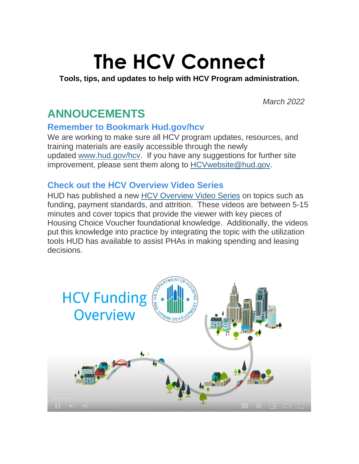# **The HCV Connect**

#### **Tools, tips, and updates to help with HCV Program administration.**

*March 2022* 

### **ANNOUCEMENTS**

### **Remember to Bookmark Hud.gov/hcv**

We are working to make sure all HCV program updates, resources, and training materials are easily accessible through the newly updated [www.hud.gov/hcv.](https://lnks.gd/l/eyJhbGciOiJIUzI1NiJ9.eyJidWxsZXRpbl9saW5rX2lkIjoxMDAsInVyaSI6ImJwMjpjbGljayIsImJ1bGxldGluX2lkIjoiMjAyMjAzMTYuNTQ5ODM5MjEiLCJ1cmwiOiJodHRwOi8vd3d3Lmh1ZC5nb3YvaGN2P3V0bV9tZWRpdW09ZW1haWwmdXRtX3NvdXJjZT1nb3ZkZWxpdmVyeSJ9.FAHuSz0JgNFoehaSMnQOXwUgxToy-7x6tiAyAgnn5kk/s/1129219932/br/128177038275-l) If you have any suggestions for further site improvement, please sent them along to [HCVwebsite@hud.gov.](mailto:HCVwebsite@hud.gov)

### **Check out the HCV Overview Video Series**

HUD has published a new [HCV Overview Video Series](https://lnks.gd/l/eyJhbGciOiJIUzI1NiJ9.eyJidWxsZXRpbl9saW5rX2lkIjoxMDEsInVyaSI6ImJwMjpjbGljayIsImJ1bGxldGluX2lkIjoiMjAyMjAzMTYuNTQ5ODM5MjEiLCJ1cmwiOiJodHRwczovL3d3dy5odWRleGNoYW5nZS5pbmZvL3Byb2dyYW1zL3B1YmxpYy1ob3VzaW5nL2hjdi1vdmVydmlldy12aWRlby1zZXJpZXMvP3V0bV9tZWRpdW09ZW1haWwmdXRtX3NvdXJjZT1nb3ZkZWxpdmVyeSJ9.iPHLtNHmkLoz4lgBkPFtP9Es1dH0IN8zYgEmJ3Kejjw/s/1129219932/br/128177038275-l) on topics such as funding, payment standards, and attrition. These videos are between 5-15 minutes and cover topics that provide the viewer with key pieces of Housing Choice Voucher foundational knowledge. Additionally, the videos put this knowledge into practice by integrating the topic with the utilization tools HUD has available to assist PHAs in making spending and leasing decisions.

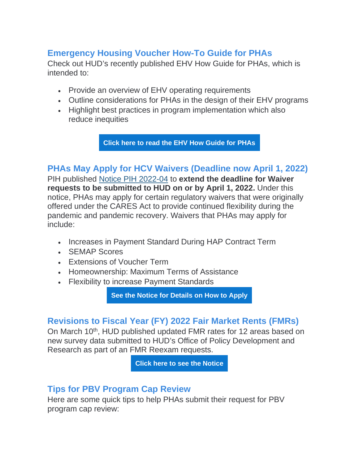### **Emergency Housing Voucher How-To Guide for PHAs**

Check out HUD's recently published EHV How Guide for PHAs, which is intended to:

- Provide an overview of EHV operating requirements
- Outline considerations for PHAs in the design of their EHV programs
- Highlight best practices in program implementation which also reduce inequities

**[Click here to read the EHV How Guide for PHAs](https://lnks.gd/l/eyJhbGciOiJIUzI1NiJ9.eyJidWxsZXRpbl9saW5rX2lkIjoxMDIsInVyaSI6ImJwMjpjbGljayIsImJ1bGxldGluX2lkIjoiMjAyMjAzMTYuNTQ5ODM5MjEiLCJ1cmwiOiJodHRwczovL2ZpbGVzLmh1ZGV4Y2hhbmdlLmluZm8vcmVzb3VyY2VzL2RvY3VtZW50cy9FbWVyZ2VuY3ktSG91c2luZy1Wb3VjaGVycy1Ib3ctVG8tR3VpZGUtRm9yLVB1YmxpYy1Ib3VzaW5nLUFnZW5jaWVzLnBkZj91dG1fbWVkaXVtPWVtYWlsJnV0bV9zb3VyY2U9Z292ZGVsaXZlcnkifQ.aiS37lkrwFIS28pQlYqayTRXZ1zxdHArDovfl0fSluE/s/1129219932/br/128177038275-l)**

### **PHAs May Apply for HCV Waivers (Deadline now April 1, 2022)**

PIH published [Notice PIH 2022-04](https://lnks.gd/l/eyJhbGciOiJIUzI1NiJ9.eyJidWxsZXRpbl9saW5rX2lkIjoxMDMsInVyaSI6ImJwMjpjbGljayIsImJ1bGxldGluX2lkIjoiMjAyMjAzMTYuNTQ5ODM5MjEiLCJ1cmwiOiJodHRwczovL3d3dy5odWQuZ292L3NpdGVzL2RmaWxlcy9QSUgvZG9jdW1lbnRzL1BJSDIwMjItMDQucGRmP3V0bV9tZWRpdW09ZW1haWwmdXRtX3NvdXJjZT1nb3ZkZWxpdmVyeSJ9.4f0EuzogrX8X-HaYDq9kO5bLDNX9Eb12MC4_z9wi5L0/s/1129219932/br/128177038275-l) to **extend the deadline for Waiver requests to be submitted to HUD on or by April 1, 2022.** Under this notice, PHAs may apply for certain regulatory waivers that were originally offered under the CARES Act to provide continued flexibility during the pandemic and pandemic recovery. Waivers that PHAs may apply for include:

- Increases in Payment Standard During HAP Contract Term
- SEMAP Scores
- Extensions of Voucher Term
- Homeownership: Maximum Terms of Assistance
- Flexibility to increase Payment Standards

**[See the Notice for Details on How to Apply](https://lnks.gd/l/eyJhbGciOiJIUzI1NiJ9.eyJidWxsZXRpbl9saW5rX2lkIjoxMDQsInVyaSI6ImJwMjpjbGljayIsImJ1bGxldGluX2lkIjoiMjAyMjAzMTYuNTQ5ODM5MjEiLCJ1cmwiOiJodHRwczovL3d3dy5odWQuZ292L3NpdGVzL2RmaWxlcy9QSUgvZG9jdW1lbnRzL1BJSDIwMjItMDQucGRmP3V0bV9tZWRpdW09ZW1haWwmdXRtX3NvdXJjZT1nb3ZkZWxpdmVyeSJ9.E555ALH1mNczMN98dRboHgsSbHkFDZH8z9VuyR39xv0/s/1129219932/br/128177038275-l)**

#### **Revisions to Fiscal Year (FY) 2022 Fair Market Rents (FMRs)**

On March 10<sup>th</sup>, HUD published updated FMR rates for 12 areas based on new survey data submitted to HUD's Office of Policy Development and Research as part of an FMR Reexam requests.

**[Click here to see the Notice](https://lnks.gd/l/eyJhbGciOiJIUzI1NiJ9.eyJidWxsZXRpbl9saW5rX2lkIjoxMDUsInVyaSI6ImJwMjpjbGljayIsImJ1bGxldGluX2lkIjoiMjAyMjAzMTYuNTQ5ODM5MjEiLCJ1cmwiOiJodHRwczovL3B1YmxpYy1pbnNwZWN0aW9uLmZlZGVyYWxyZWdpc3Rlci5nb3YvMjAyMi0wNTA0MC5wZGY_dXRtX21lZGl1bT1lbWFpbCZ1dG1fc291cmNlPWdvdmRlbGl2ZXJ5In0.Yb5Tex50YjJvz4RcAnGIXPc8dL9e_rXKlcmVCzFYDXA/s/1129219932/br/128177038275-l)**

#### **Tips for PBV Program Cap Review**

Here are some quick tips to help PHAs submit their request for PBV program cap review: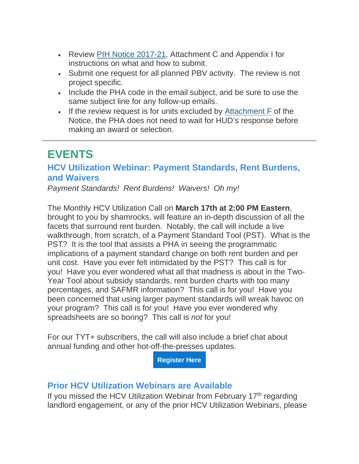- Review [PIH Notice 2017-21,](https://lnks.gd/l/eyJhbGciOiJIUzI1NiJ9.eyJidWxsZXRpbl9saW5rX2lkIjoxMDYsInVyaSI6ImJwMjpjbGljayIsImJ1bGxldGluX2lkIjoiMjAyMjAzMTYuNTQ5ODM5MjEiLCJ1cmwiOiJodHRwczovL3d3dy5odWQuZ292L3NpdGVzL2RmaWxlcy9QSUgvZG9jdW1lbnRzL1BJSC0yMDE3LTIxLnBkZj91dG1fbWVkaXVtPWVtYWlsJnV0bV9zb3VyY2U9Z292ZGVsaXZlcnkifQ.E0pd9uZe0_BE4_hy0Z_6jrhQAYDarILpGMQR25bo_O0/s/1129219932/br/128177038275-l) Attachment C and Appendix I for instructions on what and how to submit.
- Submit one request for all planned PBV activity. The review is not project specific.
- Include the PHA code in the email subject, and be sure to use the same subject line for any follow-up emails.
- If the review request is for units excluded by [Attachment F](https://lnks.gd/l/eyJhbGciOiJIUzI1NiJ9.eyJidWxsZXRpbl9saW5rX2lkIjoxMDcsInVyaSI6ImJwMjpjbGljayIsImJ1bGxldGluX2lkIjoiMjAyMjAzMTYuNTQ5ODM5MjEiLCJ1cmwiOiJodHRwczovL3d3dy5odWQuZ292L3NpdGVzL2RmaWxlcy9QSUgvZG9jdW1lbnRzL1BJSC0yMDE3LTIxLnBkZj91dG1fbWVkaXVtPWVtYWlsJnV0bV9zb3VyY2U9Z292ZGVsaXZlcnkifQ.BaZXA5eWWxYsIgNqRK3vnhT_-do11sK0Y9TUFNAqPhY/s/1129219932/br/128177038275-l) of the Notice, the PHA does not need to wait for HUD's response before making an award or selection.

## **EVENTS**

### **HCV Utilization Webinar: Payment Standards, Rent Burdens, and Waivers**

*Payment Standards! Rent Burdens! Waivers! Oh my!*

The Monthly HCV Utilization Call on **March 17th at 2:00 PM Eastern**, brought to you by shamrocks, will feature an in-depth discussion of all the facets that surround rent burden. Notably, the call will include a live walkthrough, from scratch, of a Payment Standard Tool (PST). What is the PST? It is the tool that assists a PHA in seeing the programmatic implications of a payment standard change on both rent burden and per unit cost. Have you ever felt intimidated by the PST? This call is for you! Have you ever wondered what all that madness is about in the Two-Year Tool about subsidy standards, rent burden charts with too many percentages, and SAFMR information? This call is for you! Have you been concerned that using larger payment standards will wreak havoc on your program? This call is for you! Have you ever wondered why spreadsheets are so boring? This call is *not* for you!

For our TYT+ subscribers, the call will also include a brief chat about annual funding and other hot-off-the-presses updates.

**[Register Here](https://lnks.gd/l/eyJhbGciOiJIUzI1NiJ9.eyJidWxsZXRpbl9saW5rX2lkIjoxMDgsInVyaSI6ImJwMjpjbGljayIsImJ1bGxldGluX2lkIjoiMjAyMjAzMTYuNTQ5ODM5MjEiLCJ1cmwiOiJodHRwczovL2VtczguaW50ZWxsb3IuY29tP2RvPXJlZ2lzdGVyJnA9ODQzMDExJnQ9MSZ1dG1fbWVkaXVtPWVtYWlsJnV0bV9zb3VyY2U9Z292ZGVsaXZlcnkifQ.QXygXvOG5Dd2JYE442hxg7fQx0tT10AO3AAMVaWprNk/s/1129219932/br/128177038275-l)**

#### **Prior HCV Utilization Webinars are Available**

If you missed the HCV Utilization Webinar from February 17<sup>th</sup> regarding landlord engagement, or any of the prior HCV Utilization Webinars, please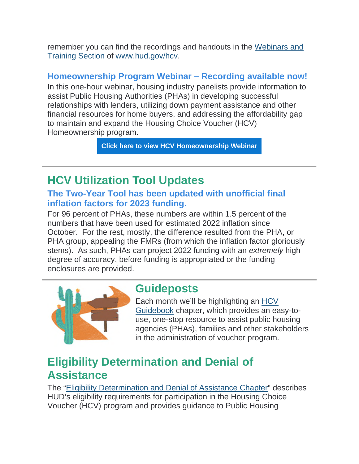remember you can find the recordings and handouts in the [Webinars and](https://lnks.gd/l/eyJhbGciOiJIUzI1NiJ9.eyJidWxsZXRpbl9saW5rX2lkIjoxMDksInVyaSI6ImJwMjpjbGljayIsImJ1bGxldGluX2lkIjoiMjAyMjAzMTYuNTQ5ODM5MjEiLCJ1cmwiOiJodHRwczovL3d3dy5odWQuZ292L3Byb2dyYW1fb2ZmaWNlcy9wdWJsaWNfaW5kaWFuX2hvdXNpbmcvcHJvZ3JhbXMvaGN2L3Byb2dyYW1fdHJhaW5pbmdzX2FuZF9yZXNvdXJjZXM_dXRtX21lZGl1bT1lbWFpbCZ1dG1fc291cmNlPWdvdmRlbGl2ZXJ5In0.zZpMwtAevv7HJvUVb_kFOdqk0BrddLrh7BQPauWSPsc/s/1129219932/br/128177038275-l)  [Training Section](https://lnks.gd/l/eyJhbGciOiJIUzI1NiJ9.eyJidWxsZXRpbl9saW5rX2lkIjoxMDksInVyaSI6ImJwMjpjbGljayIsImJ1bGxldGluX2lkIjoiMjAyMjAzMTYuNTQ5ODM5MjEiLCJ1cmwiOiJodHRwczovL3d3dy5odWQuZ292L3Byb2dyYW1fb2ZmaWNlcy9wdWJsaWNfaW5kaWFuX2hvdXNpbmcvcHJvZ3JhbXMvaGN2L3Byb2dyYW1fdHJhaW5pbmdzX2FuZF9yZXNvdXJjZXM_dXRtX21lZGl1bT1lbWFpbCZ1dG1fc291cmNlPWdvdmRlbGl2ZXJ5In0.zZpMwtAevv7HJvUVb_kFOdqk0BrddLrh7BQPauWSPsc/s/1129219932/br/128177038275-l) of [www.hud.gov/hcv.](https://lnks.gd/l/eyJhbGciOiJIUzI1NiJ9.eyJidWxsZXRpbl9saW5rX2lkIjoxMTAsInVyaSI6ImJwMjpjbGljayIsImJ1bGxldGluX2lkIjoiMjAyMjAzMTYuNTQ5ODM5MjEiLCJ1cmwiOiJodHRwOi8vd3d3Lmh1ZC5nb3YvaGN2P3V0bV9tZWRpdW09ZW1haWwmdXRtX3NvdXJjZT1nb3ZkZWxpdmVyeSJ9.LHRfcmty_McTqJA28QeKiA4fMvpjPhh4FyIpxZyr1aU/s/1129219932/br/128177038275-l)

### **Homeownership Program Webinar – Recording available now!**

In this one-hour webinar, housing industry panelists provide information to assist Public Housing Authorities (PHAs) in developing successful relationships with lenders, utilizing down payment assistance and other financial resources for home buyers, and addressing the affordability gap to maintain and expand the Housing Choice Voucher (HCV) Homeownership program.

**[Click here to view HCV Homeownership Webinar](https://lnks.gd/l/eyJhbGciOiJIUzI1NiJ9.eyJidWxsZXRpbl9saW5rX2lkIjoxMTEsInVyaSI6ImJwMjpjbGljayIsImJ1bGxldGluX2lkIjoiMjAyMjAzMTYuNTQ5ODM5MjEiLCJ1cmwiOiJodHRwczovL3d3dy5odWRleGNoYW5nZS5pbmZvL3RyYWluaW5ncy9jb3Vyc2VzL2hvdXNpbmctY2hvaWNlLXZvdWNoZXItaG9tZW93bmVyc2hpcC13ZWJpbmFyLz91dG1fbWVkaXVtPWVtYWlsJnV0bV9zb3VyY2U9Z292ZGVsaXZlcnkifQ.EUg9hh0rtmT7uuseJE5w_rAzjBF_3ZVkvSX_6u6hElI/s/1129219932/br/128177038275-l)**

### **HCV Utilization Tool Updates**

### **The Two-Year Tool has been updated with unofficial final inflation factors for 2023 funding.**

For 96 percent of PHAs, these numbers are within 1.5 percent of the numbers that have been used for estimated 2022 inflation since October. For the rest, mostly, the difference resulted from the PHA, or PHA group, appealing the FMRs (from which the inflation factor gloriously stems). As such, PHAs can project 2022 funding with an *extremely* high degree of accuracy, before funding is appropriated or the funding enclosures are provided.



### **Guideposts**

Each month we'll be highlighting an [HCV](https://lnks.gd/l/eyJhbGciOiJIUzI1NiJ9.eyJidWxsZXRpbl9saW5rX2lkIjoxMTIsInVyaSI6ImJwMjpjbGljayIsImJ1bGxldGluX2lkIjoiMjAyMjAzMTYuNTQ5ODM5MjEiLCJ1cmwiOiJodHRwczovL3d3dy5odWQuZ292L3Byb2dyYW1fb2ZmaWNlcy9wdWJsaWNfaW5kaWFuX2hvdXNpbmcvcHJvZ3JhbXMvaGN2L2d1aWRlYm9vaz91dG1fbWVkaXVtPWVtYWlsJnV0bV9zb3VyY2U9Z292ZGVsaXZlcnkifQ.lLwmjT_LqOIpzd5xO6tnQrK4v_tKbppKXMa823-WGXI/s/1129219932/br/128177038275-l)  [Guidebook](https://lnks.gd/l/eyJhbGciOiJIUzI1NiJ9.eyJidWxsZXRpbl9saW5rX2lkIjoxMTIsInVyaSI6ImJwMjpjbGljayIsImJ1bGxldGluX2lkIjoiMjAyMjAzMTYuNTQ5ODM5MjEiLCJ1cmwiOiJodHRwczovL3d3dy5odWQuZ292L3Byb2dyYW1fb2ZmaWNlcy9wdWJsaWNfaW5kaWFuX2hvdXNpbmcvcHJvZ3JhbXMvaGN2L2d1aWRlYm9vaz91dG1fbWVkaXVtPWVtYWlsJnV0bV9zb3VyY2U9Z292ZGVsaXZlcnkifQ.lLwmjT_LqOIpzd5xO6tnQrK4v_tKbppKXMa823-WGXI/s/1129219932/br/128177038275-l) chapter, which provides an easy-touse, one-stop resource to assist public housing agencies (PHAs), families and other stakeholders in the administration of voucher program.

### **Eligibility Determination and Denial of Assistance**

The ["Eligibility Determination and Denial of Assistance Chapter"](https://lnks.gd/l/eyJhbGciOiJIUzI1NiJ9.eyJidWxsZXRpbl9saW5rX2lkIjoxMTMsInVyaSI6ImJwMjpjbGljayIsImJ1bGxldGluX2lkIjoiMjAyMjAzMTYuNTQ5ODM5MjEiLCJ1cmwiOiJodHRwczovL3d3dy5odWQuZ292L3NpdGVzL2RmaWxlcy9QSUgvZG9jdW1lbnRzL0hDVl9HdWlkZWJvb2tfRWxpZ2liaWxpdHlfRGV0ZXJtaW5hdGlvbl9hbmRfRGVuaWFsX29mX0Fzc2lzdGFuY2UucGRmP3V0bV9tZWRpdW09ZW1haWwmdXRtX3NvdXJjZT1nb3ZkZWxpdmVyeSJ9.TWC0xOLO0dpItnJLbqkd5Ra0jYBLx6RtujHe6C_5Xvc/s/1129219932/br/128177038275-l) describes HUD's eligibility requirements for participation in the Housing Choice Voucher (HCV) program and provides guidance to Public Housing